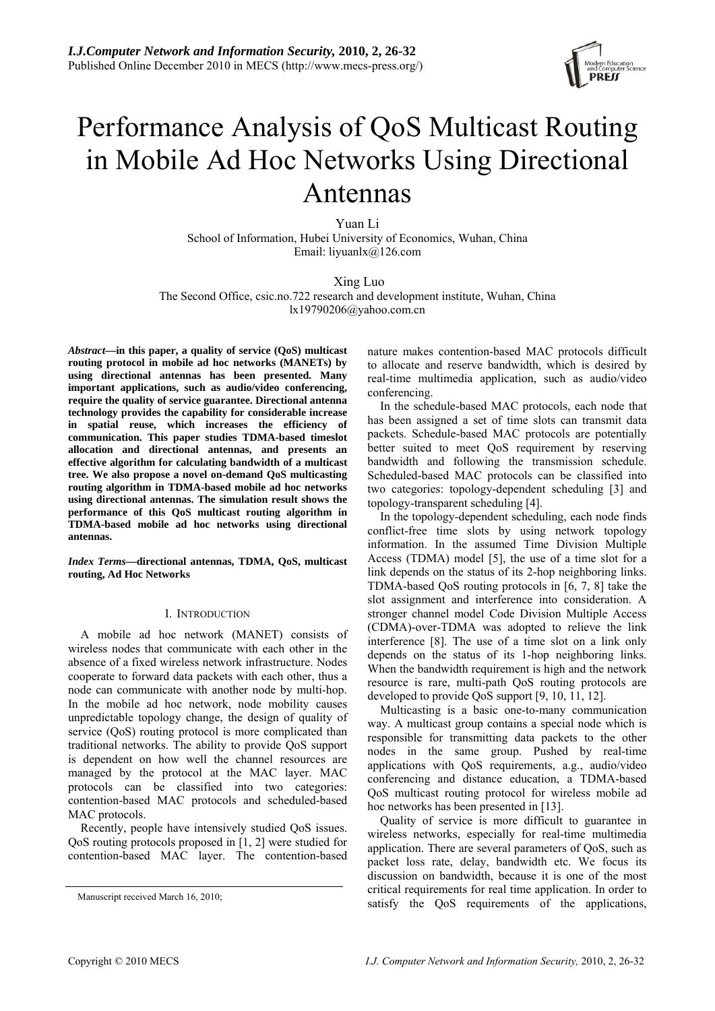

# Performance Analysis of QoS Multicast Routing in Mobile Ad Hoc Networks Using Directional Antennas

Yuan Li School of Information, Hubei University of Economics, Wuhan, China Email: liyuanlx@126.com

 Xing Luo The Second Office, csic.no.722 research and development institute, Wuhan, China lx19790206@yahoo.com.cn

*Abstract***—in this paper, a quality of service (QoS) multicast routing protocol in mobile ad hoc networks (MANETs) by using directional antennas has been presented. Many important applications, such as audio/video conferencing, require the quality of service guarantee. Directional antenna technology provides the capability for considerable increase in spatial reuse, which increases the efficiency of communication. This paper studies TDMA-based timeslot allocation and directional antennas, and presents an effective algorithm for calculating bandwidth of a multicast tree. We also propose a novel on-demand QoS multicasting routing algorithm in TDMA-based mobile ad hoc networks using directional antennas. The simulation result shows the performance of this QoS multicast routing algorithm in TDMA-based mobile ad hoc networks using directional antennas.** 

*Index Terms***—directional antennas, TDMA, QoS, multicast routing, Ad Hoc Networks** 

# I. INTRODUCTION

A mobile ad hoc network (MANET) consists of wireless nodes that communicate with each other in the absence of a fixed wireless network infrastructure. Nodes cooperate to forward data packets with each other, thus a node can communicate with another node by multi-hop. In the mobile ad hoc network, node mobility causes unpredictable topology change, the design of quality of service (QoS) routing protocol is more complicated than traditional networks. The ability to provide QoS support is dependent on how well the channel resources are managed by the protocol at the MAC layer. MAC protocols can be classified into two categories: contention-based MAC protocols and scheduled-based MAC protocols.

Recently, people have intensively studied QoS issues. QoS routing protocols proposed in [1, 2] were studied for contention-based MAC layer. The contention-based nature makes contention-based MAC protocols difficult to allocate and reserve bandwidth, which is desired by real-time multimedia application, such as audio/video conferencing.

In the schedule-based MAC protocols, each node that has been assigned a set of time slots can transmit data packets. Schedule-based MAC protocols are potentially better suited to meet QoS requirement by reserving bandwidth and following the transmission schedule. Scheduled-based MAC protocols can be classified into two categories: topology-dependent scheduling [3] and topology-transparent scheduling [4].

In the topology-dependent scheduling, each node finds conflict-free time slots by using network topology information. In the assumed Time Division Multiple Access (TDMA) model [5], the use of a time slot for a link depends on the status of its 2-hop neighboring links. TDMA-based QoS routing protocols in [6, 7, 8] take the slot assignment and interference into consideration. A stronger channel model Code Division Multiple Access (CDMA)-over-TDMA was adopted to relieve the link interference [8]. The use of a time slot on a link only depends on the status of its 1-hop neighboring links. When the bandwidth requirement is high and the network resource is rare, multi-path QoS routing protocols are developed to provide QoS support [9, 10, 11, 12].

Multicasting is a basic one-to-many communication way. A multicast group contains a special node which is responsible for transmitting data packets to the other nodes in the same group. Pushed by real-time applications with QoS requirements, a.g., audio/video conferencing and distance education, a TDMA-based QoS multicast routing protocol for wireless mobile ad hoc networks has been presented in [13].

Quality of service is more difficult to guarantee in wireless networks, especially for real-time multimedia application. There are several parameters of QoS, such as packet loss rate, delay, bandwidth etc. We focus its discussion on bandwidth, because it is one of the most critical requirements for real time application. In order to Manuscript received March 16, 2010;<br>satisfy the QoS requirements of the applications,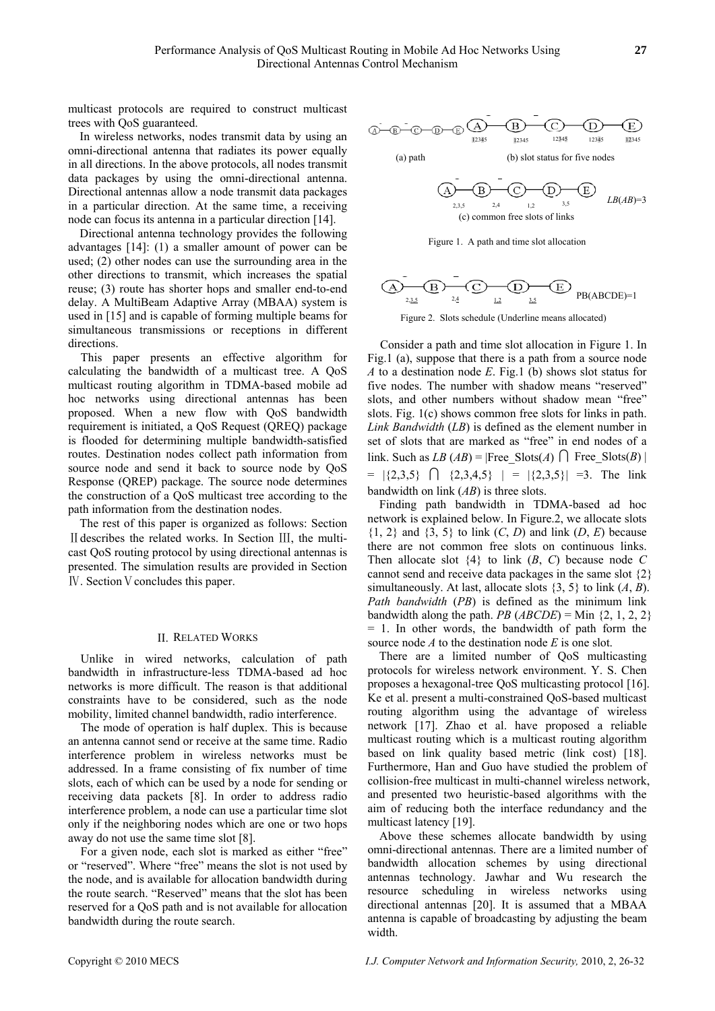multicast protocols are required to construct multicast trees with QoS guaranteed.

In wireless networks, nodes transmit data by using an omni-directional antenna that radiates its power equally in all directions. In the above protocols, all nodes transmit data packages by using the omni-directional antenna. Directional antennas allow a node transmit data packages in a particular direction. At the same time, a receiving node can focus its antenna in a particular direction [14].

Directional antenna technology provides the following advantages [14]: (1) a smaller amount of power can be used; (2) other nodes can use the surrounding area in the other directions to transmit, which increases the spatial reuse; (3) route has shorter hops and smaller end-to-end delay. A MultiBeam Adaptive Array (MBAA) system is used in [15] and is capable of forming multiple beams for simultaneous transmissions or receptions in different directions.

This paper presents an effective algorithm for calculating the bandwidth of a multicast tree. A QoS multicast routing algorithm in TDMA-based mobile ad hoc networks using directional antennas has been proposed. When a new flow with QoS bandwidth requirement is initiated, a QoS Request (QREQ) package is flooded for determining multiple bandwidth-satisfied routes. Destination nodes collect path information from source node and send it back to source node by QoS Response (QREP) package. The source node determines the construction of a QoS multicast tree according to the path information from the destination nodes.

The rest of this paper is organized as follows: Section Ⅱdescribes the related works. In Section Ⅲ, the multicast QoS routing protocol by using directional antennas is presented. The simulation results are provided in Section **IV**. Section V concludes this paper.

# II. RELATED WORKS

Unlike in wired networks, calculation of path bandwidth in infrastructure-less TDMA-based ad hoc networks is more difficult. The reason is that additional constraints have to be considered, such as the node mobility, limited channel bandwidth, radio interference.

The mode of operation is half duplex. This is because an antenna cannot send or receive at the same time. Radio interference problem in wireless networks must be addressed. In a frame consisting of fix number of time slots, each of which can be used by a node for sending or receiving data packets [8]. In order to address radio interference problem, a node can use a particular time slot only if the neighboring nodes which are one or two hops away do not use the same time slot [8].

For a given node, each slot is marked as either "free" or "reserved". Where "free" means the slot is not used by the node, and is available for allocation bandwidth during the route search. "Reserved" means that the slot has been reserved for a QoS path and is not available for allocation bandwidth during the route search.



Figure 1. A path and time slot allocation

$$
\widehat{\text{AD}_{2,3,5}}\xrightarrow{D} \widehat{\text{CD}_{2,4}}\xrightarrow{D} \widehat{\text{CD}_{3,5}}\xrightarrow{PE} \text{PB}(ABCDE)=1
$$

Figure 2. Slots schedule (Underline means allocated)

Consider a path and time slot allocation in Figure 1. In Fig.1 (a), suppose that there is a path from a source node *A* to a destination node *E*. Fig.1 (b) shows slot status for five nodes. The number with shadow means "reserved" slots, and other numbers without shadow mean "free" slots. Fig. 1(c) shows common free slots for links in path. *Link Bandwidth* (*LB*) is defined as the element number in set of slots that are marked as "free" in end nodes of a link. Such as *LB* (*AB*) = |Free\_Slots(*A*)  $\bigcap$  Free Slots(*B*) |  $= |\{2,3,5\} \cap \{2,3,4,5\}| = |\{2,3,5\}| = 3.$  The link bandwidth on link (*AB*) is three slots.

Finding path bandwidth in TDMA-based ad hoc network is explained below. In Figure.2, we allocate slots  $\{1, 2\}$  and  $\{3, 5\}$  to link  $(C, D)$  and link  $(D, E)$  because there are not common free slots on continuous links. Then allocate slot  $\{4\}$  to link  $(B, C)$  because node  $C$ cannot send and receive data packages in the same slot {2} simultaneously. At last, allocate slots  $\{3, 5\}$  to link  $(A, B)$ . *Path bandwidth* (*PB*) is defined as the minimum link bandwidth along the path. *PB*  $(ABCDE) =$ Min  $\{2, 1, 2, 2\}$ = 1. In other words, the bandwidth of path form the source node *A* to the destination node *E* is one slot.

There are a limited number of QoS multicasting protocols for wireless network environment. Y. S. Chen proposes a hexagonal-tree QoS multicasting protocol [16]. Ke et al. present a multi-constrained QoS-based multicast routing algorithm using the advantage of wireless network [17]. Zhao et al. have proposed a reliable multicast routing which is a multicast routing algorithm based on link quality based metric (link cost) [18]. Furthermore, Han and Guo have studied the problem of collision-free multicast in multi-channel wireless network, and presented two heuristic-based algorithms with the aim of reducing both the interface redundancy and the multicast latency [19].

Above these schemes allocate bandwidth by using omni-directional antennas. There are a limited number of bandwidth allocation schemes by using directional antennas technology. Jawhar and Wu research the resource scheduling in wireless networks using directional antennas [20]. It is assumed that a MBAA antenna is capable of broadcasting by adjusting the beam width.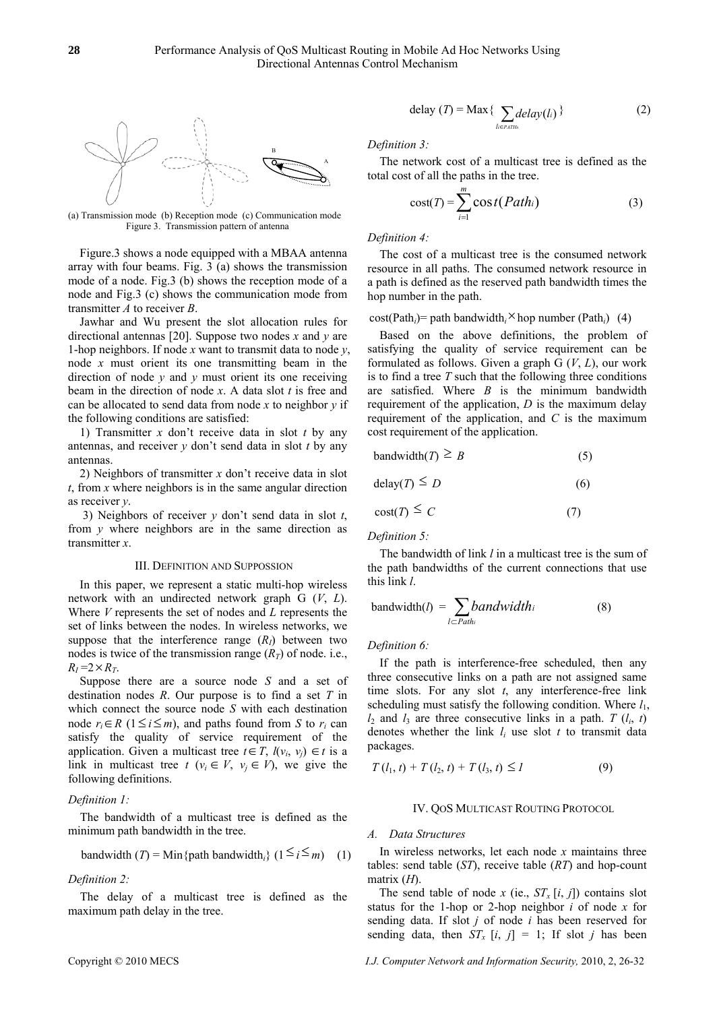

 (a) Transmission mode (b) Reception mode (c) Communication mode Figure 3. Transmission pattern of antenna

Figure.3 shows a node equipped with a MBAA antenna array with four beams. Fig. 3 (a) shows the transmission mode of a node. Fig.3 (b) shows the reception mode of a node and Fig.3 (c) shows the communication mode from transmitter *A* to receiver *B*.

Jawhar and Wu present the slot allocation rules for directional antennas [20]. Suppose two nodes *x* and *y* are 1-hop neighbors. If node *x* want to transmit data to node *y*, node *x* must orient its one transmitting beam in the direction of node *y* and *y* must orient its one receiving beam in the direction of node *x*. A data slot *t* is free and can be allocated to send data from node *x* to neighbor *y* if the following conditions are satisfied:

1) Transmitter *x* don't receive data in slot *t* by any antennas, and receiver *y* don't send data in slot *t* by any antennas.

2) Neighbors of transmitter *x* don't receive data in slot *t*, from *x* where neighbors is in the same angular direction as receiver *y*.

 3) Neighbors of receiver *y* don't send data in slot *t*, from *y* where neighbors are in the same direction as transmitter *x*.

#### III. DEFINITION AND SUPPOSSION

In this paper, we represent a static multi-hop wireless network with an undirected network graph G (*V*, *L*). Where *V* represents the set of nodes and *L* represents the set of links between the nodes. In wireless networks, we suppose that the interference range  $(R<sub>I</sub>)$  between two nodes is twice of the transmission range  $(R_T)$  of node. i.e.,  $R_I = 2 \times R_T$ .

Suppose there are a source node *S* and a set of destination nodes *R*. Our purpose is to find a set *T* in which connect the source node *S* with each destination node  $r_i$  ∈ *R* (1 ≤ *i* ≤ *m*), and paths found from *S* to  $r_i$  can satisfy the quality of service requirement of the application. Given a multicast tree  $t \in T$ ,  $l(v_i, v_j) \in t$  is a link in multicast tree  $t$  ( $v_i \in V$ ,  $v_j \in V$ ), we give the following definitions.

### *Definition 1:*

The bandwidth of a multicast tree is defined as the minimum path bandwidth in the tree.

bandwidth (T) = Min{path bandwidth<sub>i</sub>} 
$$
(1 \le i \le m)
$$
 (1)

# *Definition 2:*

The delay of a multicast tree is defined as the maximum path delay in the tree.

$$
delay (T) = Max \{ \sum_{l \in Paths} delay(l_i) \}
$$
 (2)

Definition 3:

The network cost of a multicast tree is defined as the total cost of all the paths in the tree.

$$
cost(T) = \sum_{i=1}^{m} cost(Path_i)
$$
 (3)

*Definition 4:* 

The cost of a multicast tree is the consumed network resource in all paths. The consumed network resource in a path is defined as the reserved path bandwidth times the hop number in the path.

# $cost(Path<sub>i</sub>)$  = path bandwidth<sub>i</sub><sup> $\times$ </sup> hop number (Path<sub>*i*</sub>) (4)

Based on the above definitions, the problem of satisfying the quality of service requirement can be formulated as follows. Given a graph G (*V*, *L*), our work is to find a tree *T* such that the following three conditions are satisfied. Where *B* is the minimum bandwidth requirement of the application, *D* is the maximum delay requirement of the application, and *C* is the maximum cost requirement of the application.

$$
bandwidth(T) \ge B \tag{5}
$$

$$
delay(T) \le D \tag{6}
$$

$$
cost(T) \le C \tag{7}
$$

*Definition 5:* 

The bandwidth of link *l* in a multicast tree is the sum of the path bandwidths of the current connections that use this link *l*.

$$
bandwidth(I) = \sum_{l \subset Path_i} bandwidth_i
$$
 (8)

### *Definition 6:*

If the path is interference-free scheduled, then any three consecutive links on a path are not assigned same time slots. For any slot *t*, any interference-free link scheduling must satisfy the following condition. Where  $l_1$ ,  $l_2$  and  $l_3$  are three consecutive links in a path. *T*  $(l_i, t)$ denotes whether the link  $l_i$  use slot  $t$  to transmit data packages.

$$
T(l_1, t) + T(l_2, t) + T(l_3, t) \leq I \tag{9}
$$

# IV. QOS MULTICAST ROUTING PROTOCOL

#### *A. Data Structures*

 In wireless networks, let each node *x* maintains three tables: send table (*ST*), receive table (*RT*) and hop-count matrix (*H*).

The send table of node *x* (ie.,  $ST_x[i, j]$ ) contains slot status for the 1-hop or 2-hop neighbor *i* of node *x* for sending data. If slot *j* of node *i* has been reserved for sending data, then  $ST_x$  [*i*, *j*] = 1; If slot *j* has been

I.J. Computer Network and Information Security, 2010, 2, 26-32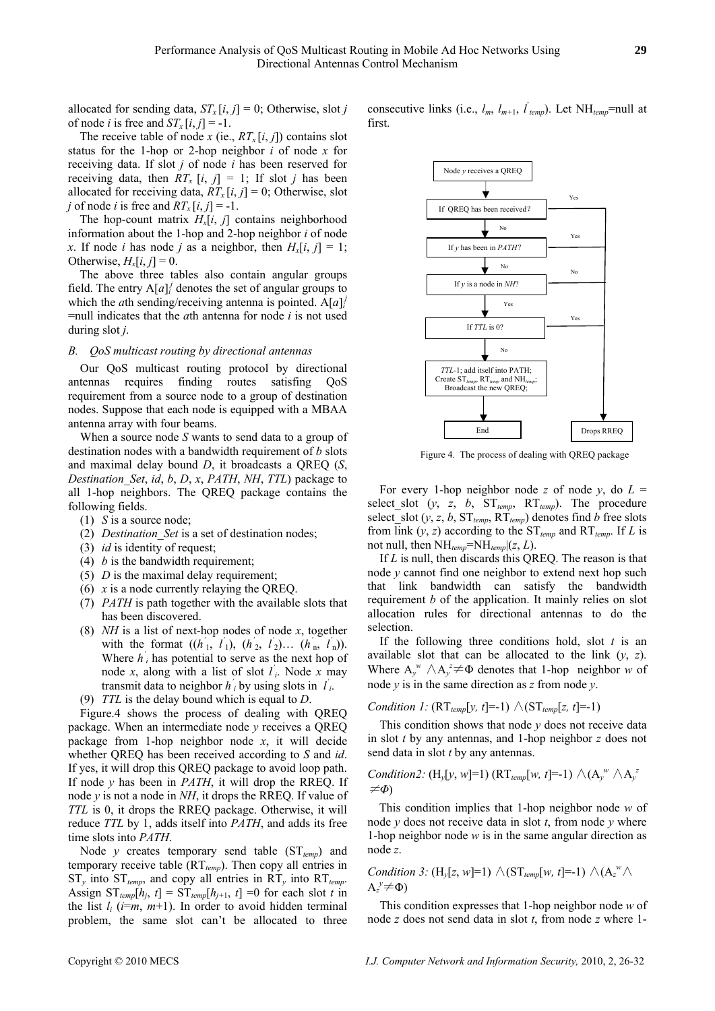allocated for sending data,  $ST_x[i, j] = 0$ ; Otherwise, slot *j* of node *i* is free and  $ST_x[i, j] = -1$ .

The receive table of node *x* (ie.,  $RT_x[i, j]$ ) contains slot status for the 1-hop or 2-hop neighbor *i* of node *x* for receiving data. If slot *j* of node *i* has been reserved for receiving data, then  $RT_r$   $[i, j] = 1$ ; If slot *j* has been allocated for receiving data,  $RT_x[i, j] = 0$ ; Otherwise, slot *j* of node *i* is free and  $RT_x[i, j] = -1$ .

The hop-count matrix  $H_x[i, j]$  contains neighborhood information about the 1-hop and 2-hop neighbor *i* of node *x*. If node *i* has node *j* as a neighbor, then  $H_x[i, j] = 1$ ; Otherwise,  $H_x[i, j] = 0$ .

The above three tables also contain angular groups field. The entry  $A[a]$ <sup>*i*</sup> denotes the set of angular groups to which the *a*th sending/receiving antenna is pointed.  $A[a]$ <sup>*i*</sup> =null indicates that the *a*th antenna for node *i* is not used during slot *j*.

# *B. QoS multicast routing by directional antennas*

Our QoS multicast routing protocol by directional antennas requires finding routes satisfing QoS requirement from a source node to a group of destination nodes. Suppose that each node is equipped with a MBAA antenna array with four beams.

When a source node *S* wants to send data to a group of destination nodes with a bandwidth requirement of *b* slots and maximal delay bound *D*, it broadcasts a QREQ (*S*, *Destination\_Set*, *id*, *b*, *D*, *x*, *PATH*, *NH*, *TTL*) package to all 1-hop neighbors. The QREQ package contains the following fields.

- (1) *S* is a source node;
- (2) *Destination\_Set* is a set of destination nodes;
- (3) *id* is identity of request;
- (4) *b* is the bandwidth requirement;
- (5) *D* is the maximal delay requirement;
- (6) *x* is a node currently relaying the QREQ.
- (7) *PATH* is path together with the available slots that has been discovered.
- (8) *NH* is a list of next-hop nodes of node *x*, together with the format  $((h'_1, l'_1), (h'_2, l'_2), (h'_n, l'_n)).$ Where  $h'$ <sup>*i*</sup> has potential to serve as the next hop of node *x*, along with a list of slot  $l_i$ . Node *x* may transmit data to neighbor  $h'$ <sup>*i*</sup> by using slots in  $l'$ <sup>*i*</sup>.
- (9) *TTL* is the delay bound which is equal to *D*.

Figure.4 shows the process of dealing with QREQ package. When an intermediate node *y* receives a QREQ package from 1-hop neighbor node *x*, it will decide whether QREQ has been received according to *S* and *id*. If yes, it will drop this QREQ package to avoid loop path. If node *y* has been in *PATH*, it will drop the RREQ. If node *y* is not a node in *NH*, it drops the RREQ. If value of *TTL* is 0, it drops the RREQ package. Otherwise, it will reduce *TTL* by 1, adds itself into *PATH*, and adds its free time slots into *PATH*.

Node *y* creates temporary send table  $(ST_{temp})$  and temporary receive table  $(RT_{temp})$ . Then copy all entries in  $ST_y$  into  $ST_{temp}$ , and copy all entries in  $RT_y$  into  $RT_{temp}$ . Assign  $ST_{temp}[h_j, t] = ST_{temp}[h_{j+1}, t] = 0$  for each slot *t* in the list  $l_i$  ( $i=m$ ,  $m+1$ ). In order to avoid hidden terminal problem, the same slot can't be allocated to three

consecutive links (i.e.,  $l_m$ ,  $l_{m+1}$ ,  $l'_{temp}$ ). Let NH<sub>temp</sub>=null at first.



Figure 4. The process of dealing with QREQ package

For every 1-hop neighbor node *z* of node *y*, do  $L =$ select\_slot  $(y, z, b, ST_{temp}, RT_{temp})$ . The procedure select\_slot  $(y, z, b, ST_{temp}, RT_{temp})$  denotes find *b* free slots from link  $(y, z)$  according to the  $ST_{temp}$  and  $RT_{temp}$ . If *L* is not null, then  $NH_{temp} = NH_{temp}$  $(z, L)$ .

If *L* is null, then discards this QREQ. The reason is that node *y* cannot find one neighbor to extend next hop such that link bandwidth can satisfy the bandwidth requirement *b* of the application. It mainly relies on slot allocation rules for directional antennas to do the selection.

If the following three conditions hold, slot *t* is an available slot that can be allocated to the link (*y*, *z*). Where  $A_y^w \wedge A_y^z \neq \Phi$  denotes that 1-hop neighbor *w* of node *y* is in the same direction as *z* from node *y*.

Condition 1: 
$$
(RT_{temp}[y, t] = -1) \wedge (ST_{temp}[z, t] = -1)
$$

This condition shows that node *y* does not receive data in slot *t* by any antennas, and 1-hop neighbor *z* does not send data in slot *t* by any antennas.

Condition2: 
$$
(H_y[y, w]=1)
$$
  $(RT_{temp}[w, t]=-1)$   $\wedge (A_y^w \wedge A_y^z) \neq \Phi$ 

This condition implies that 1-hop neighbor node *w* of node *y* does not receive data in slot *t*, from node *y* where 1-hop neighbor node *w* is in the same angular direction as node *z*.

Condition 3: 
$$
(H_y[z, w]=1) \wedge (ST_{temp}[w, t]=-1) \wedge (A_z^w \wedge A_z^y \neq \Phi)
$$

This condition expresses that 1-hop neighbor node *w* of node *z* does not send data in slot *t*, from node *z* where 1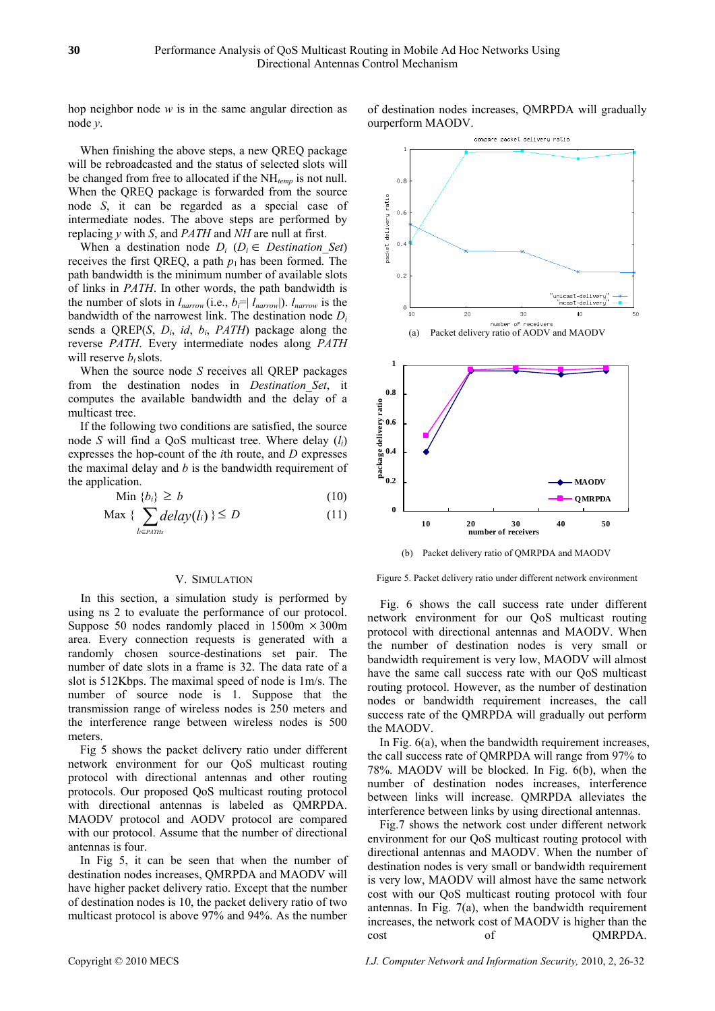hop neighbor node *w* is in the same angular direction as node *y*.

When finishing the above steps, a new QREQ package will be rebroadcasted and the status of selected slots will be changed from free to allocated if the NH*temp* is not null. When the QREQ package is forwarded from the source node *S*, it can be regarded as a special case of intermediate nodes. The above steps are performed by replacing *y* with *S*, and *PATH* and *NH* are null at first.

When a destination node  $D_i$  ( $D_i \in$  *Destination Set*) receives the first QREQ, a path  $p_1$  has been formed. The path bandwidth is the minimum number of available slots of links in *PATH*. In other words, the path bandwidth is the number of slots in  $l_{narrow}$  (i.e.,  $b_i = | l_{narrow} |$ ).  $l_{narrow}$  is the bandwidth of the narrowest link. The destination node *Di* sends a QREP(*S*, *Di*, *id*, *bi*, *PATH*) package along the reverse *PATH*. Every intermediate nodes along *PATH* will reserve *b*<sub>*i*</sub> slots.

When the source node *S* receives all QREP packages from the destination nodes in *Destination\_Set*, it computes the available bandwidth and the delay of a multicast tree.

If the following two conditions are satisfied, the source node *S* will find a QoS multicast tree. Where delay (*li*) expresses the hop-count of the *i*th route, and *D* expresses the maximal delay and *b* is the bandwidth requirement of the application.

$$
\text{Min } \{b_i\} \ge b \tag{10}
$$

$$
\text{Max} \{ \sum_{l \in \text{PATHs}} \text{delay}(l_i) \} \le D \tag{11}
$$

## V. SIMULATION

In this section, a simulation study is performed by using ns 2 to evaluate the performance of our protocol. Suppose 50 nodes randomly placed in  $1500m \times 300m$ area. Every connection requests is generated with a randomly chosen source-destinations set pair. The number of date slots in a frame is 32. The data rate of a slot is 512Kbps. The maximal speed of node is 1m/s. The number of source node is 1. Suppose that the transmission range of wireless nodes is 250 meters and the interference range between wireless nodes is 500 meters.

Fig 5 shows the packet delivery ratio under different network environment for our QoS multicast routing protocol with directional antennas and other routing protocols. Our proposed QoS multicast routing protocol with directional antennas is labeled as QMRPDA. MAODV protocol and AODV protocol are compared with our protocol. Assume that the number of directional antennas is four.

In Fig 5, it can be seen that when the number of destination nodes increases, QMRPDA and MAODV will have higher packet delivery ratio. Except that the number of destination nodes is 10, the packet delivery ratio of two multicast protocol is above 97% and 94%. As the number





(b) Packet delivery ratio of QMRPDA and MAODV

Figure 5. Packet delivery ratio under different network environment

Fig. 6 shows the call success rate under different network environment for our QoS multicast routing protocol with directional antennas and MAODV. When the number of destination nodes is very small or bandwidth requirement is very low, MAODV will almost have the same call success rate with our QoS multicast routing protocol. However, as the number of destination nodes or bandwidth requirement increases, the call success rate of the QMRPDA will gradually out perform the MAODV.

In Fig. 6(a), when the bandwidth requirement increases, the call success rate of QMRPDA will range from 97% to 78%. MAODV will be blocked. In Fig. 6(b), when the number of destination nodes increases, interference between links will increase. QMRPDA alleviates the interference between links by using directional antennas.

Fig.7 shows the network cost under different network environment for our QoS multicast routing protocol with directional antennas and MAODV. When the number of destination nodes is very small or bandwidth requirement is very low, MAODV will almost have the same network cost with our QoS multicast routing protocol with four antennas. In Fig. 7(a), when the bandwidth requirement increases, the network cost of MAODV is higher than the cost of QMRPDA.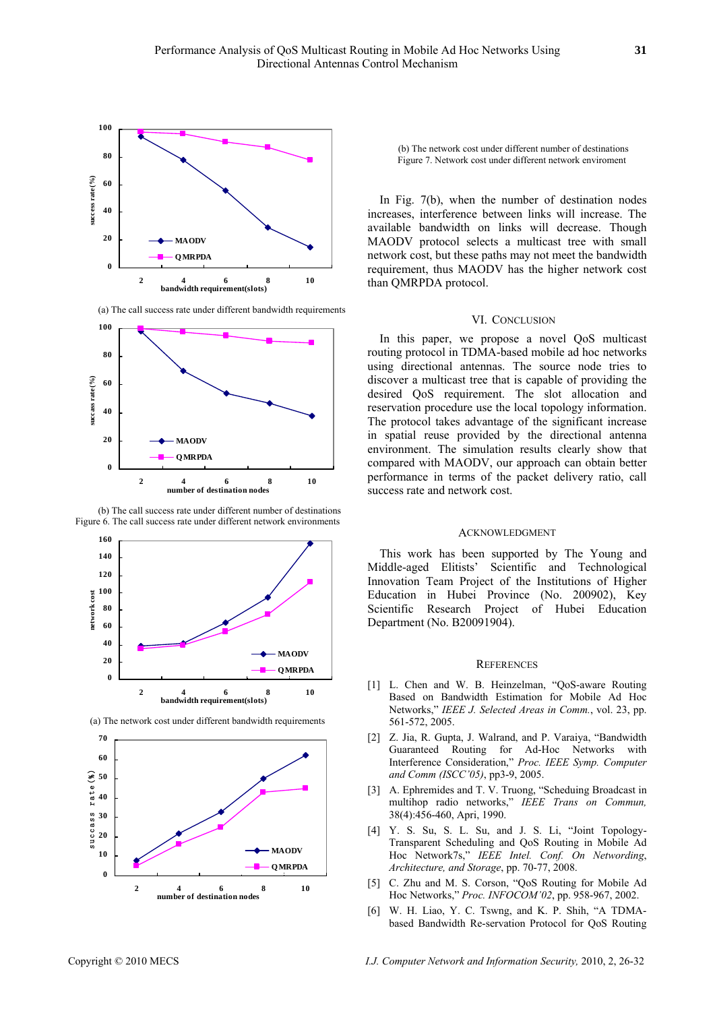

(a) The call success rate under different bandwidth requirements



 (b) The call success rate under different number of destinations Figure 6. The call success rate under different network environments





(a) The network cost under different bandwidth requirements

(b) The network cost under different number of destinations Figure 7. Network cost under different network enviroment

In Fig. 7(b), when the number of destination nodes increases, interference between links will increase. The available bandwidth on links will decrease. Though MAODV protocol selects a multicast tree with small network cost, but these paths may not meet the bandwidth requirement, thus MAODV has the higher network cost than QMRPDA protocol.

#### VI. CONCLUSION

In this paper, we propose a novel QoS multicast routing protocol in TDMA-based mobile ad hoc networks using directional antennas. The source node tries to discover a multicast tree that is capable of providing the desired QoS requirement. The slot allocation and reservation procedure use the local topology information. The protocol takes advantage of the significant increase in spatial reuse provided by the directional antenna environment. The simulation results clearly show that compared with MAODV, our approach can obtain better performance in terms of the packet delivery ratio, call success rate and network cost.

### ACKNOWLEDGMENT

This work has been supported by The Young and Middle-aged Elitists' Scientific and Technological Innovation Team Project of the Institutions of Higher Education in Hubei Province (No. 200902), Key Scientific Research Project of Hubei Education Department (No. B20091904).

#### **REFERENCES**

- [1] L. Chen and W. B. Heinzelman, "QoS-aware Routing Based on Bandwidth Estimation for Mobile Ad Hoc Networks," *IEEE J. Selected Areas in Comm.*, vol. 23, pp. 561-572, 2005.
- [2] Z. Jia, R. Gupta, J. Walrand, and P. Varaiya, "Bandwidth Guaranteed Routing for Ad-Hoc Networks with Interference Consideration," *Proc. IEEE Symp. Computer and Comm (ISCC'05)*, pp3-9, 2005.
- [3] A. Ephremides and T. V. Truong, "Scheduing Broadcast in multihop radio networks," *IEEE Trans on Commun,* 38(4):456-460, Apri, 1990.
- [4] Y. S. Su, S. L. Su, and J. S. Li, "Joint Topology-Transparent Scheduling and QoS Routing in Mobile Ad Hoc Network7s," *IEEE Intel. Conf. On Networding*, *Architecture, and Storage*, pp. 70-77, 2008.
- [5] C. Zhu and M. S. Corson, "QoS Routing for Mobile Ad Hoc Networks," *Proc. INFOCOM'02*, pp. 958-967, 2002.
- [6] W. H. Liao, Y. C. Tswng, and K. P. Shih, "A TDMAbased Bandwidth Re-servation Protocol for QoS Routing